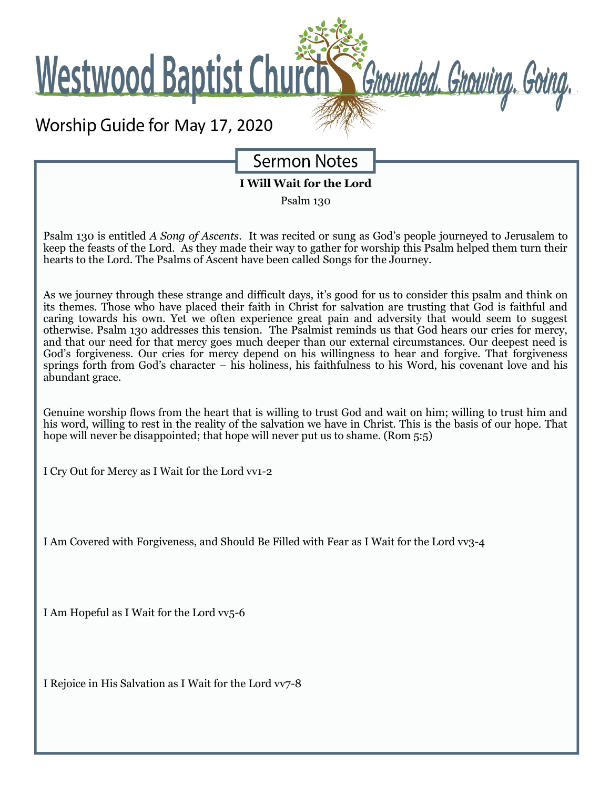**Westwood Baptist Church** 

## Worship Guide for May 17, 2020

**Sermon Notes** 

Grounded. Grouing. Going.

**I Will Wait for the Lord**

Psalm 130

Psalm 130 is entitled *A Song of Ascents*. It was recited or sung as God's people journeyed to Jerusalem to keep the feasts of the Lord. As they made their way to gather for worship this Psalm helped them turn their hearts to the Lord. The Psalms of Ascent have been called Songs for the Journey.

As we journey through these strange and difficult days, it's good for us to consider this psalm and think on its themes. Those who have placed their faith in Christ for salvation are trusting that God is faithful and caring towards his own. Yet we often experience great pain and adversity that would seem to suggest otherwise. Psalm 130 addresses this tension. The Psalmist reminds us that God hears our cries for mercy, and that our need for that mercy goes much deeper than our external circumstances. Our deepest need is God's forgiveness. Our cries for mercy depend on his willingness to hear and forgive. That forgiveness springs forth from God's character – his holiness, his faithfulness to his Word, his covenant love and his abundant grace.

Genuine worship flows from the heart that is willing to trust God and wait on him; willing to trust him and his word, willing to rest in the reality of the salvation we have in Christ. This is the basis of our hope. That hope will never be disappointed; that hope will never put us to shame. (Rom 5:5)

I Cry Out for Mercy as I Wait for the Lord vv1-2

I Am Covered with Forgiveness, and Should Be Filled with Fear as I Wait for the Lord vv3-4

I Am Hopeful as I Wait for the Lord vv5-6

I Rejoice in His Salvation as I Wait for the Lord vv7-8